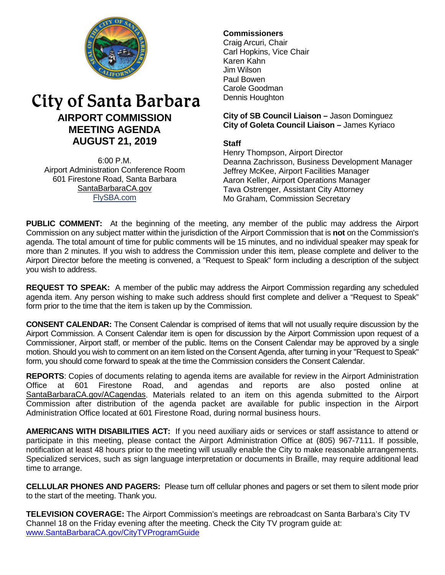

# City of Santa Barbara **AIRPORT COMMISSION MEETING AGENDA AUGUST 21, 2019**

6:00 P.M. Airport Administration Conference Room 601 Firestone Road, Santa Barbara [SantaBarbaraCA.gov](http://www.santabarbaraca.gov/) [FlySBA.com](http://www.santabarbaraca.gov/gov/depts/flysba/default.asp?utm_source=FlySBA&utm_medium=Redirect&utm_campaign=ReferralTracking)

# **Commissioners**

Craig Arcuri, Chair Carl Hopkins, Vice Chair Karen Kahn Jim Wilson Paul Bowen Carole Goodman Dennis Houghton

**City of SB Council Liaison –** Jason Dominguez **City of Goleta Council Liaison –** James Kyriaco

## **Staff**

Henry Thompson, Airport Director Deanna Zachrisson, Business Development Manager Jeffrey McKee, Airport Facilities Manager Aaron Keller, Airport Operations Manager Tava Ostrenger, Assistant City Attorney Mo Graham, Commission Secretary

**PUBLIC COMMENT:** At the beginning of the meeting, any member of the public may address the Airport Commission on any subject matter within the jurisdiction of the Airport Commission that is **not** on the Commission's agenda. The total amount of time for public comments will be 15 minutes, and no individual speaker may speak for more than 2 minutes. If you wish to address the Commission under this item, please complete and deliver to the Airport Director before the meeting is convened, a "Request to Speak" form including a description of the subject you wish to address.

**REQUEST TO SPEAK:** A member of the public may address the Airport Commission regarding any scheduled agenda item. Any person wishing to make such address should first complete and deliver a "Request to Speak" form prior to the time that the item is taken up by the Commission.

**CONSENT CALENDAR:** The Consent Calendar is comprised of items that will not usually require discussion by the Airport Commission. A Consent Calendar item is open for discussion by the Airport Commission upon request of a Commissioner, Airport staff, or member of the public. Items on the Consent Calendar may be approved by a single motion. Should you wish to comment on an item listed on the Consent Agenda, after turning in your "Request to Speak" form, you should come forward to speak at the time the Commission considers the Consent Calendar.

**REPORTS**: Copies of documents relating to agenda items are available for review in the Airport Administration Office at 601 Firestone Road, and agendas and reports are also posted online at [SantaBarbaraCA.gov/ACagendas.](http://www.santabarbaraca.gov/gov/brdcomm/ac/airport/agendas.asp) Materials related to an item on this agenda submitted to the Airport Commission after distribution of the agenda packet are available for public inspection in the Airport Administration Office located at 601 Firestone Road, during normal business hours.

**AMERICANS WITH DISABILITIES ACT:** If you need auxiliary aids or services or staff assistance to attend or participate in this meeting, please contact the Airport Administration Office at (805) 967-7111. If possible, notification at least 48 hours prior to the meeting will usually enable the City to make reasonable arrangements. Specialized services, such as sign language interpretation or documents in Braille, may require additional lead time to arrange.

**CELLULAR PHONES AND PAGERS:** Please turn off cellular phones and pagers or set them to silent mode prior to the start of the meeting. Thank you.

**TELEVISION COVERAGE:** The Airport Commission's meetings are rebroadcast on Santa Barbara's City TV Channel 18 on the Friday evening after the meeting. Check the City TV program guide at: [www.SantaBarbaraCA.gov/CityTVProgramGuide](http://www.santabarbaraca.gov/CityTVProgramGuide)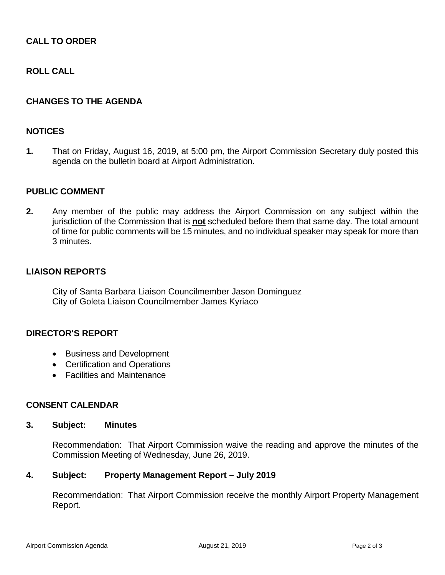## **CALL TO ORDER**

# **ROLL CALL**

## **CHANGES TO THE AGENDA**

#### **NOTICES**

**1.** That on Friday, August 16, 2019, at 5:00 pm, the Airport Commission Secretary duly posted this agenda on the bulletin board at Airport Administration.

#### **PUBLIC COMMENT**

**2.** Any member of the public may address the Airport Commission on any subject within the jurisdiction of the Commission that is **not** scheduled before them that same day. The total amount of time for public comments will be 15 minutes, and no individual speaker may speak for more than 3 minutes.

#### **LIAISON REPORTS**

City of Santa Barbara Liaison Councilmember Jason Dominguez City of Goleta Liaison Councilmember James Kyriaco

## **DIRECTOR'S REPORT**

- Business and Development
- Certification and Operations
- Facilities and Maintenance

#### **CONSENT CALENDAR**

#### **3. Subject: Minutes**

Recommendation: That Airport Commission waive the reading and approve the minutes of the Commission Meeting of Wednesday, June 26, 2019.

#### **4. Subject: Property Management Report – July 2019**

Recommendation: That Airport Commission receive the monthly Airport Property Management Report.